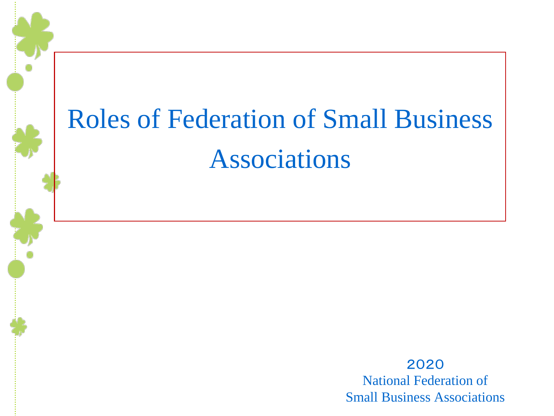# Roles of Federation of Small Business Associations

2020 National Federation of Small Business Associations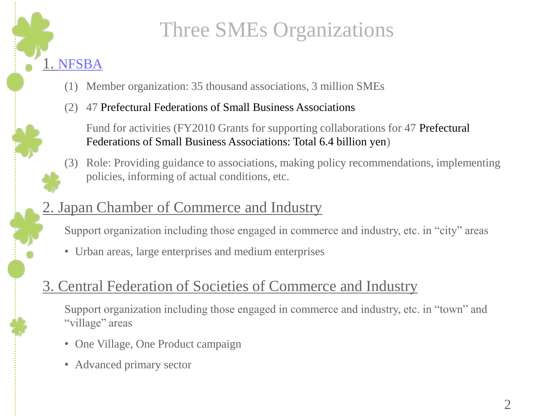

# Three SMEs Organizations

- (1) Member organization: 35 thousand associations, 3 million SMEs
- (2) 47 Prefectural Federations of Small Business Associations

Fund for activities (FY2010 Grants for supporting collaborations for 47 Prefectural Federations of Small Business Associations: Total 6.4 billion yen)

(3) Role: Providing guidance to associations, making policy recommendations, implementing policies, informing of actual conditions, etc.

#### 2. Japan Chamber of Commerce and Industry

Support organization including those engaged in commerce and industry, etc. in "city" areas

• Urban areas, large enterprises and medium enterprises

#### 3. Central Federation of Societies of Commerce and Industry

Support organization including those engaged in commerce and industry, etc. in "town" and "village" areas

- One Village, One Product campaign
- Advanced primary sector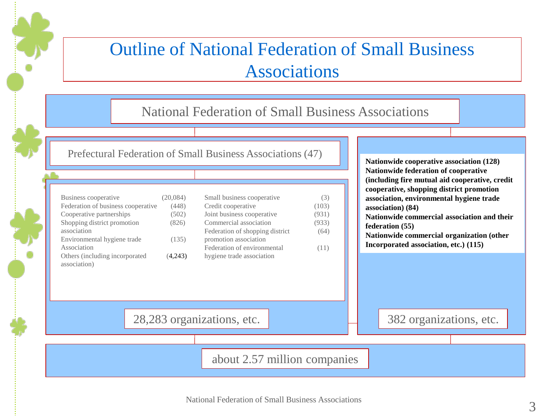#### Outline of National Federation of Small Business Associations

#### National Federation of Small Business Associations

Prefectural Federation of Small Business Associations (47)

| Business cooperative               | (20,084) |
|------------------------------------|----------|
| Federation of business cooperative | (448)    |
| Cooperative partnerships           | (502)    |
| Shopping district promotion        | (826)    |
| association                        |          |
| Environmental hygiene trade        | (135)    |
| Association                        |          |
| Others (including incorporated     | (4,243)  |
| association)                       |          |

| Small business cooperative      | (3)   |
|---------------------------------|-------|
| Credit cooperative              | (103) |
| Joint business cooperative      | (931) |
| Commercial association          | (933) |
| Federation of shopping district | (64)  |
| promotion association           |       |
| Federation of environmental     | (11)  |
| hygiene trade association       |       |

**Nationwide cooperative association (128) Nationwide federation of cooperative (including fire mutual aid cooperative, credit cooperative, shopping district promotion association, environmental hygiene trade association) (84) Nationwide commercial association and their federation (55) Nationwide commercial organization (other Incorporated association, etc.) (115)**

28,283 organizations, etc.  $\Box$  382 organizations, etc.

about 2.57 million companies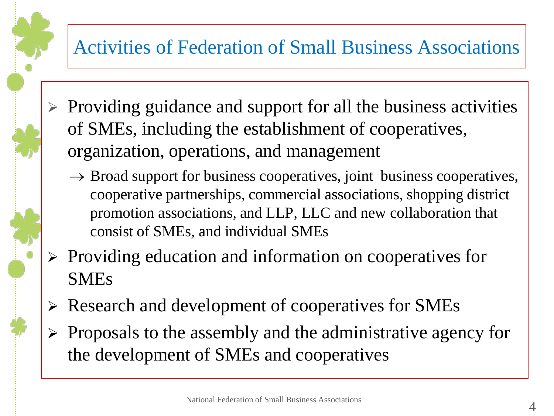### Activities of Federation of Small Business Associations

- ➢ Providing guidance and support for all the business activities of SMEs, including the establishment of cooperatives, organization, operations, and management
	- $\rightarrow$  Broad support for business cooperatives, joint business cooperatives, cooperative partnerships, commercial associations, shopping district promotion associations, and LLP, LLC and new collaboration that consist of SMEs, and individual SMEs
- ➢ Providing education and information on cooperatives for SMEs
- ➢ Research and development of cooperatives for SMEs
- ➢ Proposals to the assembly and the administrative agency for the development of SMEs and cooperatives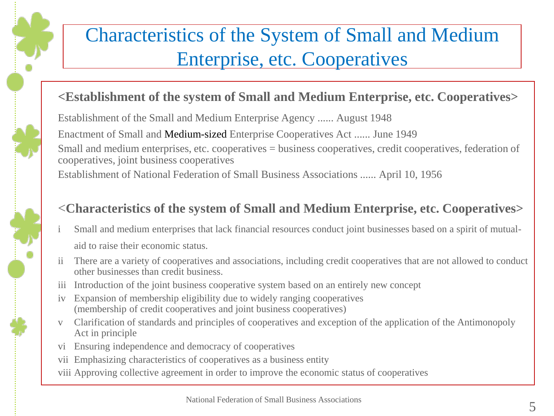# Characteristics of the System of Small and Medium Enterprise, etc. Cooperatives

#### **<Establishment of the system of Small and Medium Enterprise, etc. Cooperatives>**

Establishment of the Small and Medium Enterprise Agency ...... August 1948

Enactment of Small and Medium-sized Enterprise Cooperatives Act ...... June 1949

Small and medium enterprises, etc. cooperatives = business cooperatives, credit cooperatives, federation of cooperatives, joint business cooperatives

Establishment of National Federation of Small Business Associations ...... April 10, 1956

#### <**Characteristics of the system of Small and Medium Enterprise, etc. Cooperatives>**

- Small and medium enterprises that lack financial resources conduct joint businesses based on a spirit of mutualaid to raise their economic status.
- ii There are a variety of cooperatives and associations, including credit cooperatives that are not allowed to conduct other businesses than credit business.
- iii Introduction of the joint business cooperative system based on an entirely new concept
- iv Expansion of membership eligibility due to widely ranging cooperatives (membership of credit cooperatives and joint business cooperatives)
- v Clarification of standards and principles of cooperatives and exception of the application of the Antimonopoly Act in principle
- vi Ensuring independence and democracy of cooperatives
- vii Emphasizing characteristics of cooperatives as a business entity
- viii Approving collective agreement in order to improve the economic status of cooperatives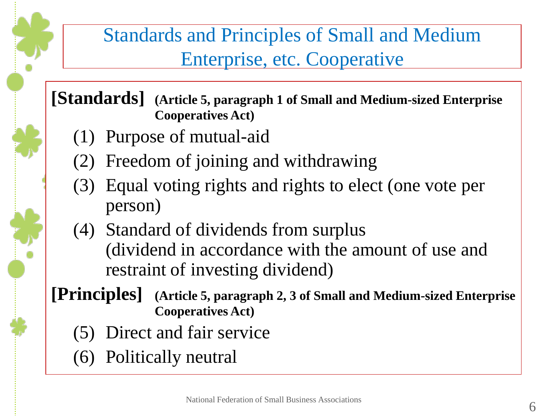## Standards and Principles of Small and Medium Enterprise, etc. Cooperative

**[Standards] (Article 5, paragraph 1 of Small and Medium-sized Enterprise Cooperatives Act)**

- (1) Purpose of mutual-aid
- (2) Freedom of joining and withdrawing
- (3) Equal voting rights and rights to elect (one vote per person)
- (4) Standard of dividends from surplus (dividend in accordance with the amount of use and restraint of investing dividend)
- **[Principles] (Article 5, paragraph 2, 3 of Small and Medium-sized Enterprise Cooperatives Act)**
	- (5) Direct and fair service
	- (6) Politically neutral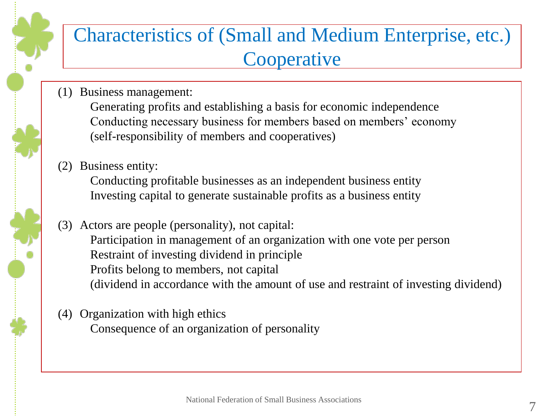#### Characteristics of (Small and Medium Enterprise, etc.) **Cooperative**

(1) Business management:

Generating profits and establishing a basis for economic independence Conducting necessary business for members based on members' economy (self-responsibility of members and cooperatives)

(2) Business entity:

Conducting profitable businesses as an independent business entity Investing capital to generate sustainable profits as a business entity

(3) Actors are people (personality), not capital: Participation in management of an organization with one vote per person Restraint of investing dividend in principle Profits belong to members, not capital (dividend in accordance with the amount of use and restraint of investing dividend)

(4) Organization with high ethics Consequence of an organization of personality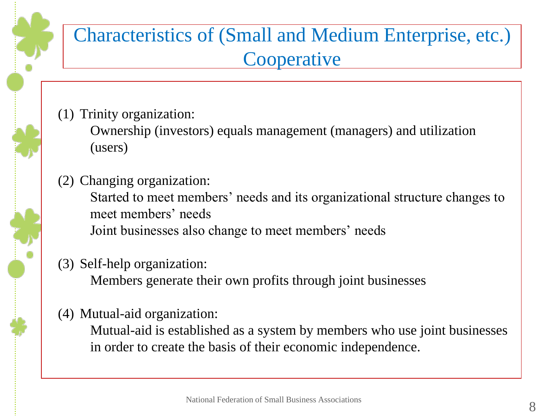

- (1) Trinity organization: Ownership (investors) equals management (managers) and utilization (users)
- (2) Changing organization: Started to meet members' needs and its organizational structure changes to meet members' needs Joint businesses also change to meet members' needs
- (3) Self-help organization: Members generate their own profits through joint businesses
- (4) Mutual-aid organization:

Mutual-aid is established as a system by members who use joint businesses in order to create the basis of their economic independence.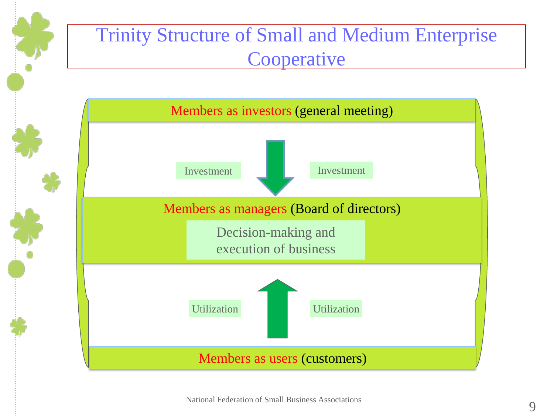## Trinity Structure of Small and Medium Enterprise **Cooperative**

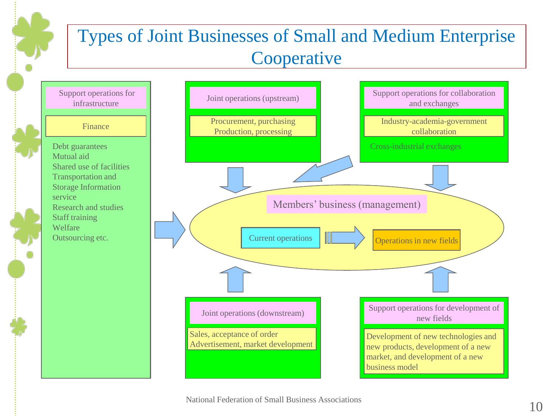#### Types of Joint Businesses of Small and Medium Enterprise **Cooperative**

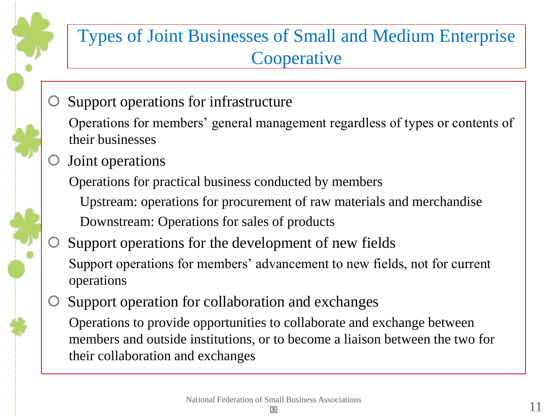

#### Types of Joint Businesses of Small and Medium Enterprise **Cooperative**

Support operations for infrastructure

Operations for members' general management regardless of types or contents of their businesses

Joint operations

Operations for practical business conducted by members

Upstream: operations for procurement of raw materials and merchandise Downstream: Operations for sales of products

- Support operations for the development of new fields Support operations for members' advancement to new fields, not for current operations
- Support operation for collaboration and exchanges

Operations to provide opportunities to collaborate and exchange between members and outside institutions, or to become a liaison between the two for their collaboration and exchanges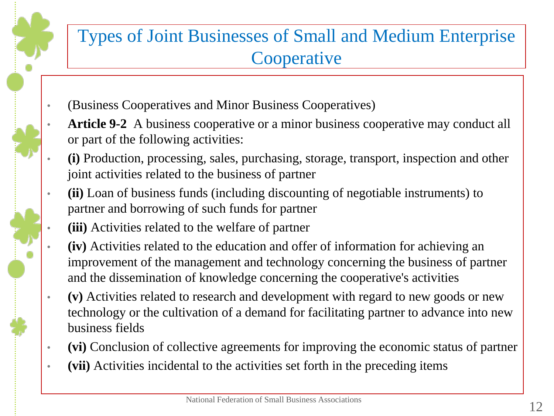

- (Business Cooperatives and Minor Business Cooperatives)
	- Article 9-2 A business cooperative or a minor business cooperative may conduct all or part of the following activities:
- **(i)** Production, processing, sales, purchasing, storage, transport, inspection and other joint activities related to the business of partner
- **(ii)** Loan of business funds (including discounting of negotiable instruments) to partner and borrowing of such funds for partner
	- **(iii)** Activities related to the welfare of partner
	- **(iv)** Activities related to the education and offer of information for achieving an improvement of the management and technology concerning the business of partner and the dissemination of knowledge concerning the cooperative's activities
- **(v)** Activities related to research and development with regard to new goods or new technology or the cultivation of a demand for facilitating partner to advance into new business fields
- **(vi)** Conclusion of collective agreements for improving the economic status of partner
- **(vii)** Activities incidental to the activities set forth in the preceding items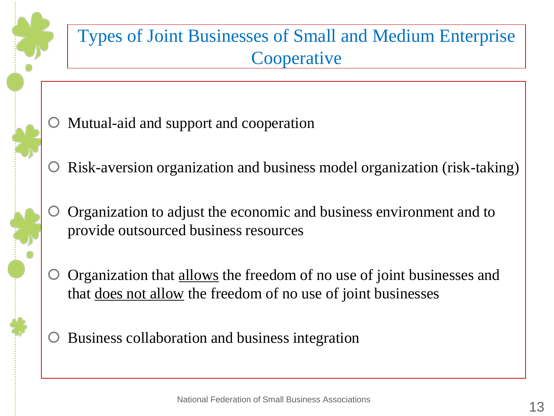

#### Types of Joint Businesses of Small and Medium Enterprise **Cooperative**

- Mutual-aid and support and cooperation
- Risk-aversion organization and business model organization (risk-taking)
- Organization to adjust the economic and business environment and to provide outsourced business resources
- Organization that allows the freedom of no use of joint businesses and that does not allow the freedom of no use of joint businesses
- Business collaboration and business integration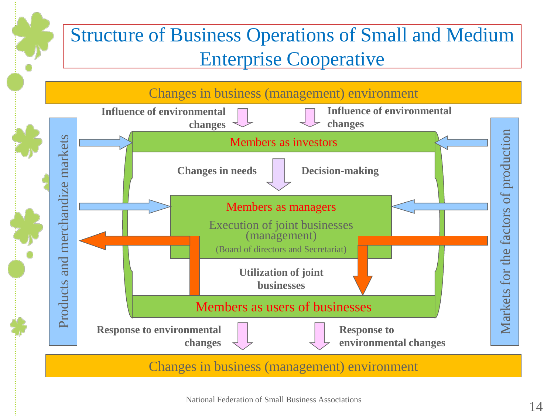## Structure of Business Operations of Small and Medium Enterprise Cooperative

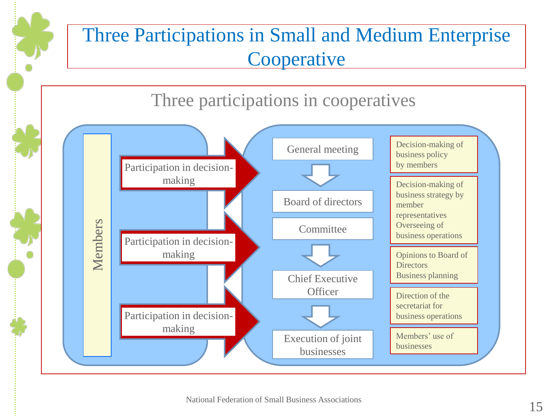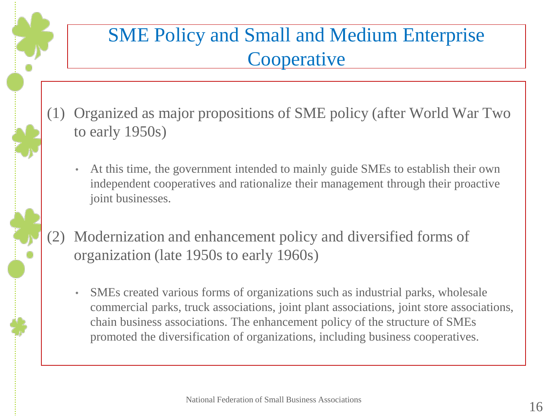### SME Policy and Small and Medium Enterprise **Cooperative**

- (1) Organized as major propositions of SME policy (after World War Two to early 1950s)
	- At this time, the government intended to mainly guide SMEs to establish their own independent cooperatives and rationalize their management through their proactive joint businesses.
- (2) Modernization and enhancement policy and diversified forms of organization (late 1950s to early 1960s)
	- SMEs created various forms of organizations such as industrial parks, wholesale commercial parks, truck associations, joint plant associations, joint store associations, chain business associations. The enhancement policy of the structure of SMEs promoted the diversification of organizations, including business cooperatives.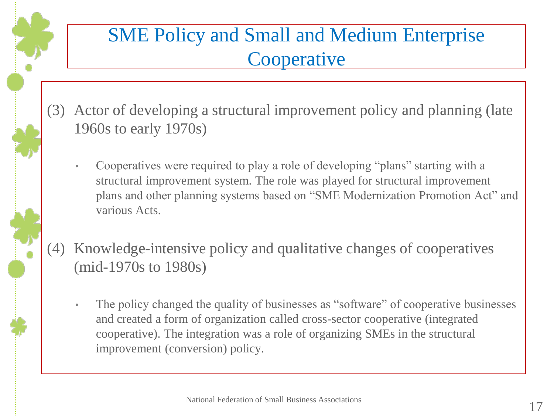## SME Policy and Small and Medium Enterprise **Cooperative**

- (3) Actor of developing a structural improvement policy and planning (late 1960s to early 1970s)
	- Cooperatives were required to play a role of developing "plans" starting with a structural improvement system. The role was played for structural improvement plans and other planning systems based on "SME Modernization Promotion Act" and various Acts.
- (4) Knowledge-intensive policy and qualitative changes of cooperatives (mid-1970s to 1980s)
	- The policy changed the quality of businesses as "software" of cooperative businesses and created a form of organization called cross-sector cooperative (integrated cooperative). The integration was a role of organizing SMEs in the structural improvement (conversion) policy.